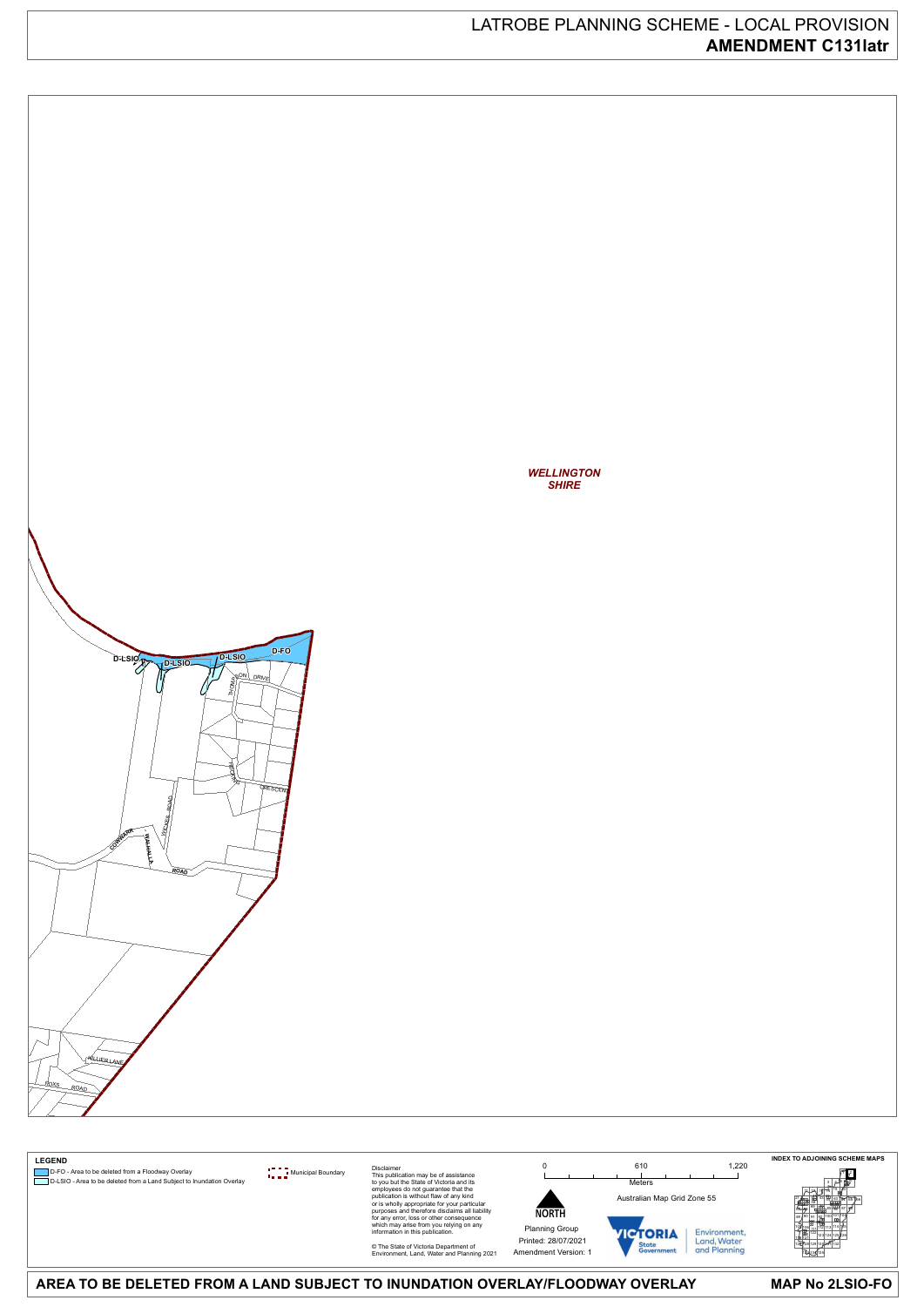### **MAP No 2LSIO-FO**

# LATROBE PLANNING SCHEME - LOCAL PROVISION **AMENDMENT C131latr**



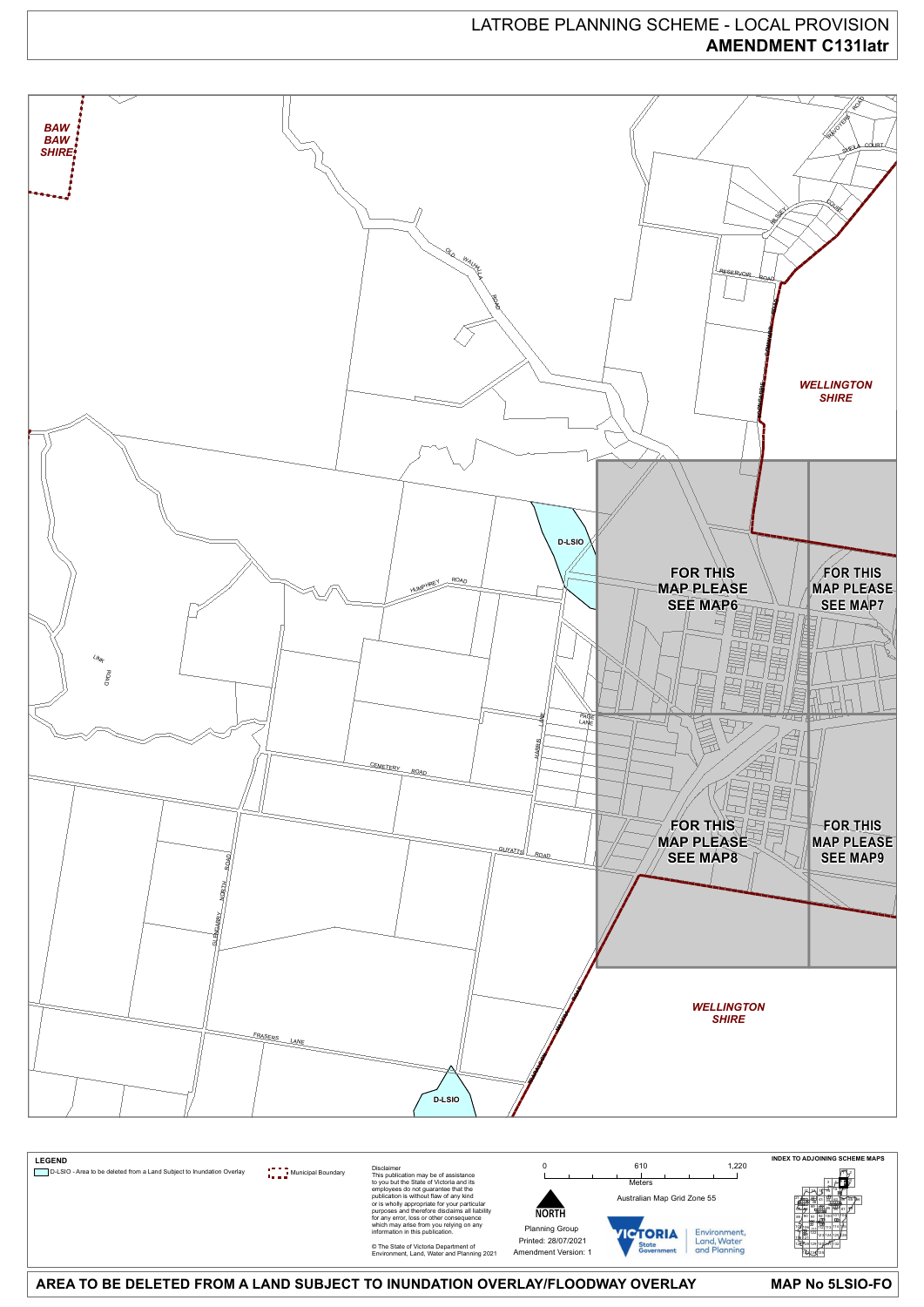#### **MAP No 5LSIO-FO**

# LATROBE PLANNING SCHEME - LOCAL PROVISION **AMENDMENT C131latr**



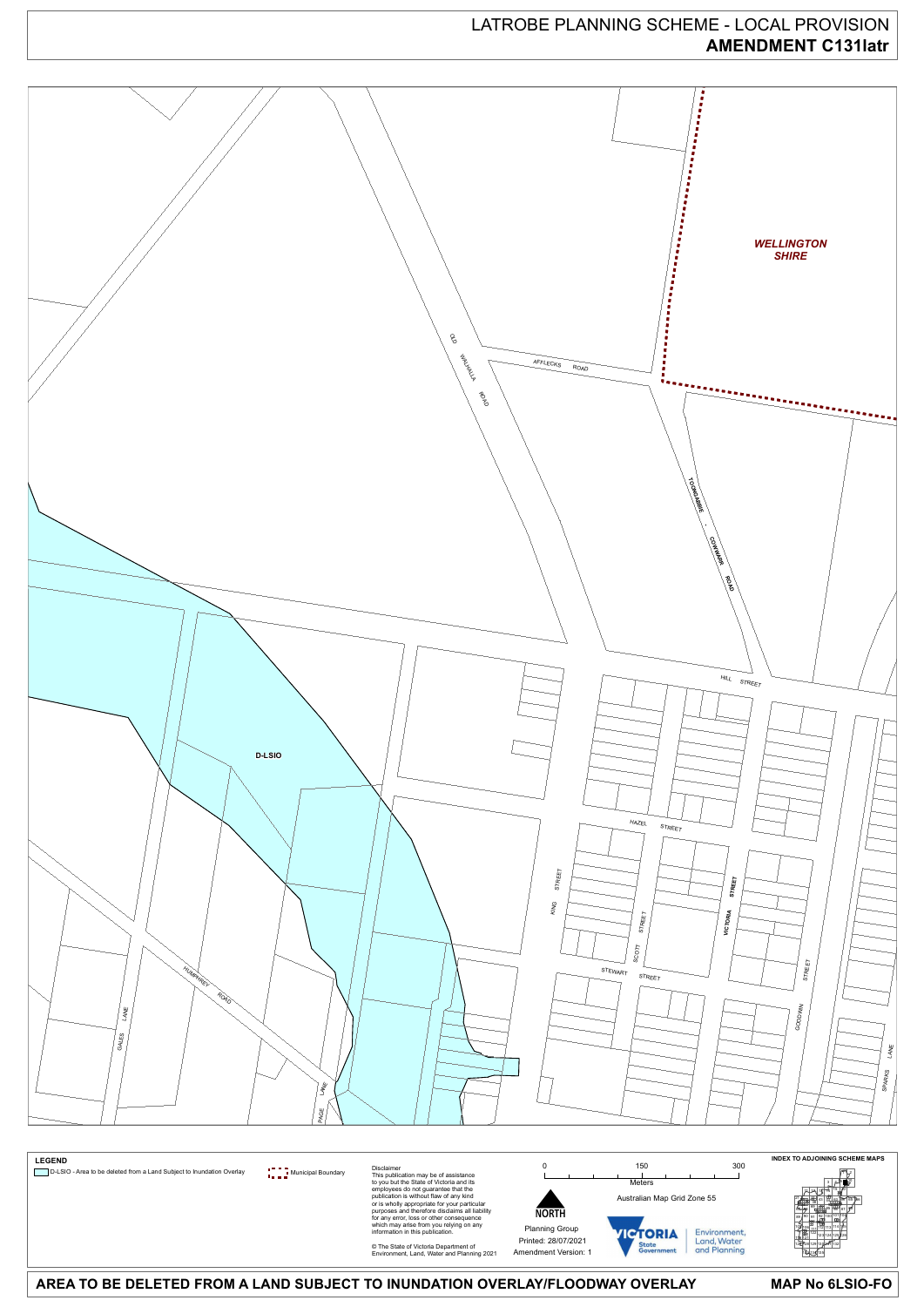**MAP No 6LSIO-FO**

# LATROBE PLANNING SCHEME - LOCAL PROVISION **AMENDMENT C131latr**



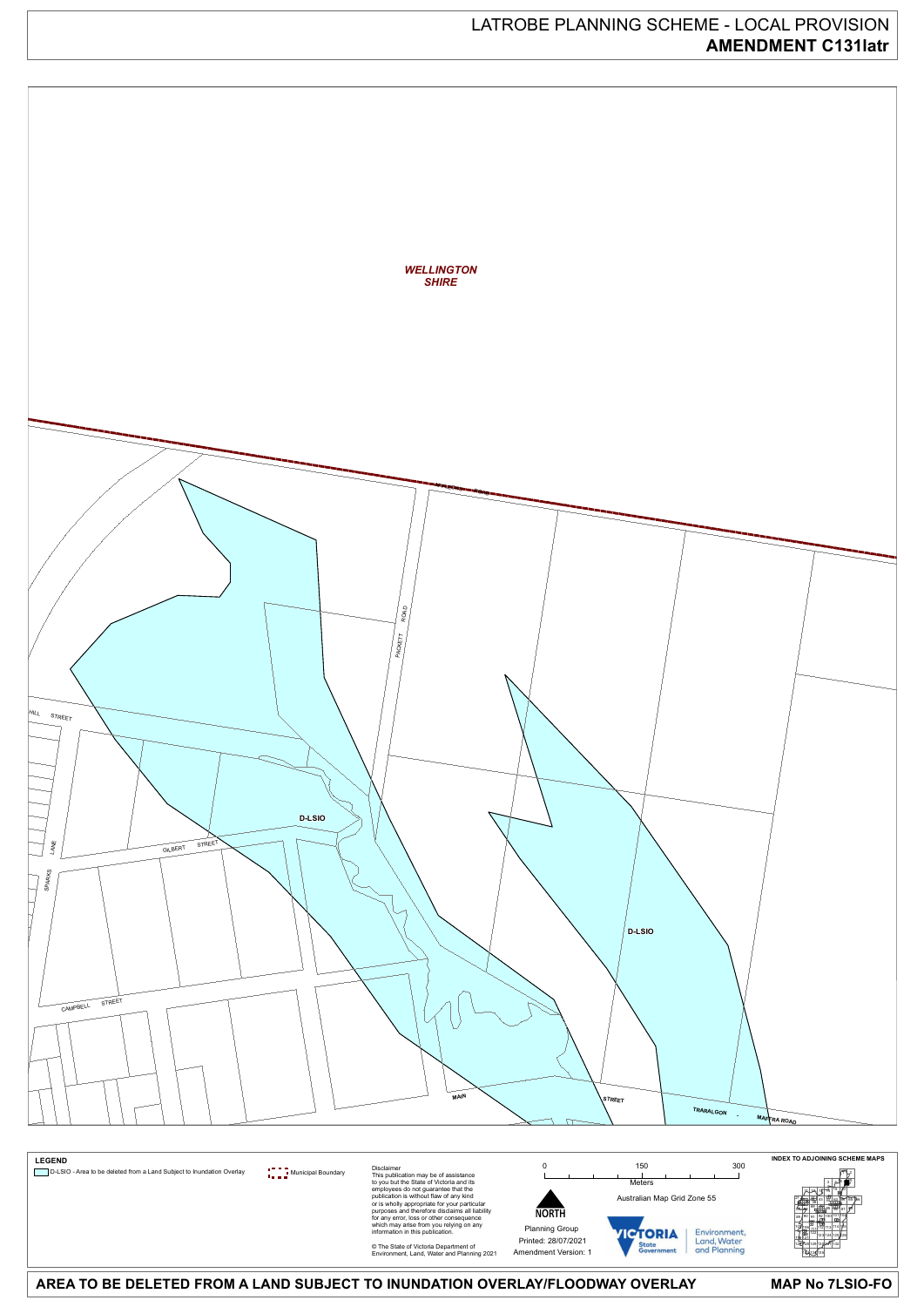**MAP No 7LSIO-FO**

# LATROBE PLANNING SCHEME - LOCAL PROVISION **AMENDMENT C131latr**



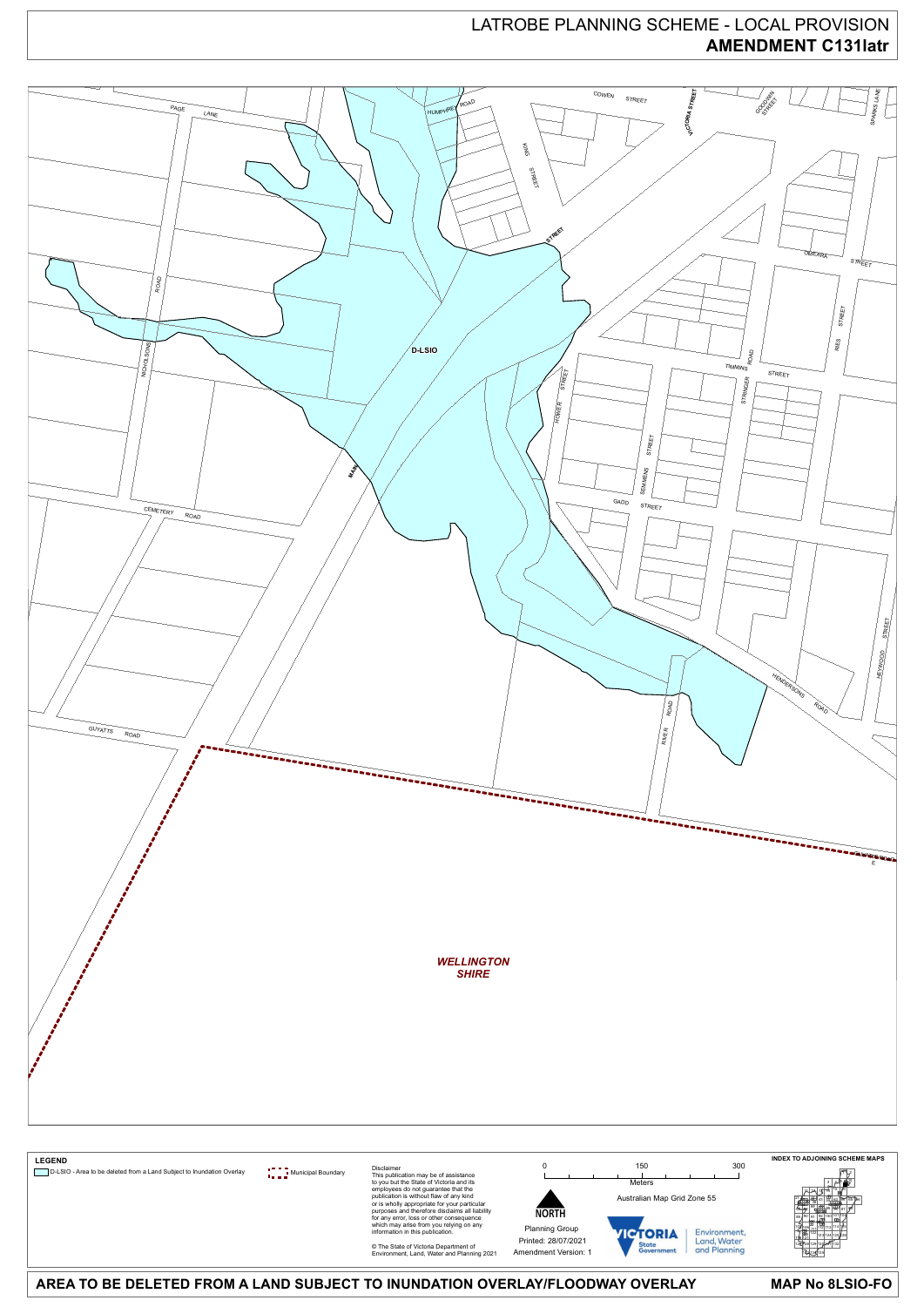**MAP No 8LSIO-FO**

# LATROBE PLANNING SCHEME - LOCAL PROVISION **AMENDMENT C131latr**



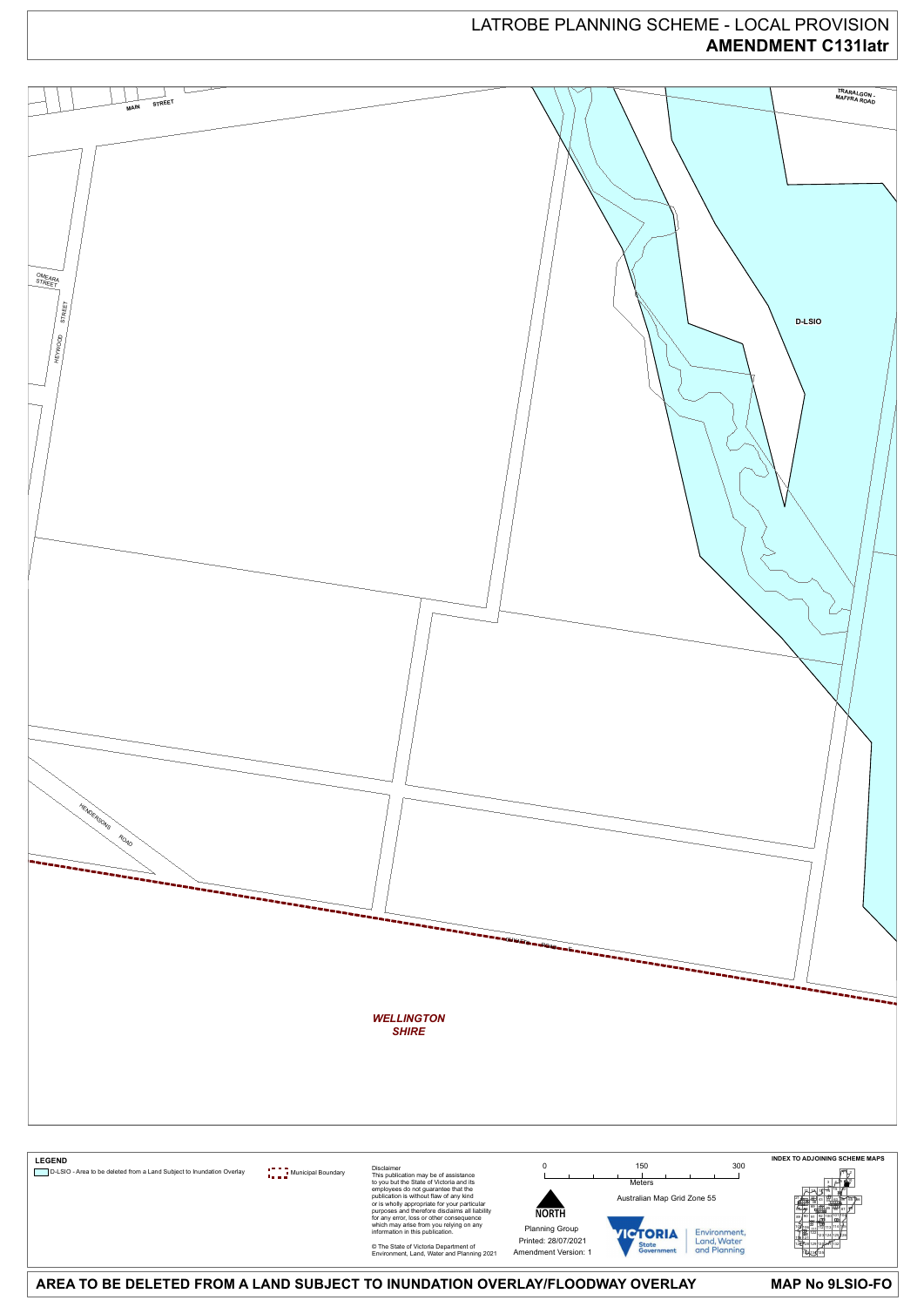**MAP No 9LSIO-FO**

# LATROBE PLANNING SCHEME - LOCAL PROVISION **AMENDMENT C131latr**



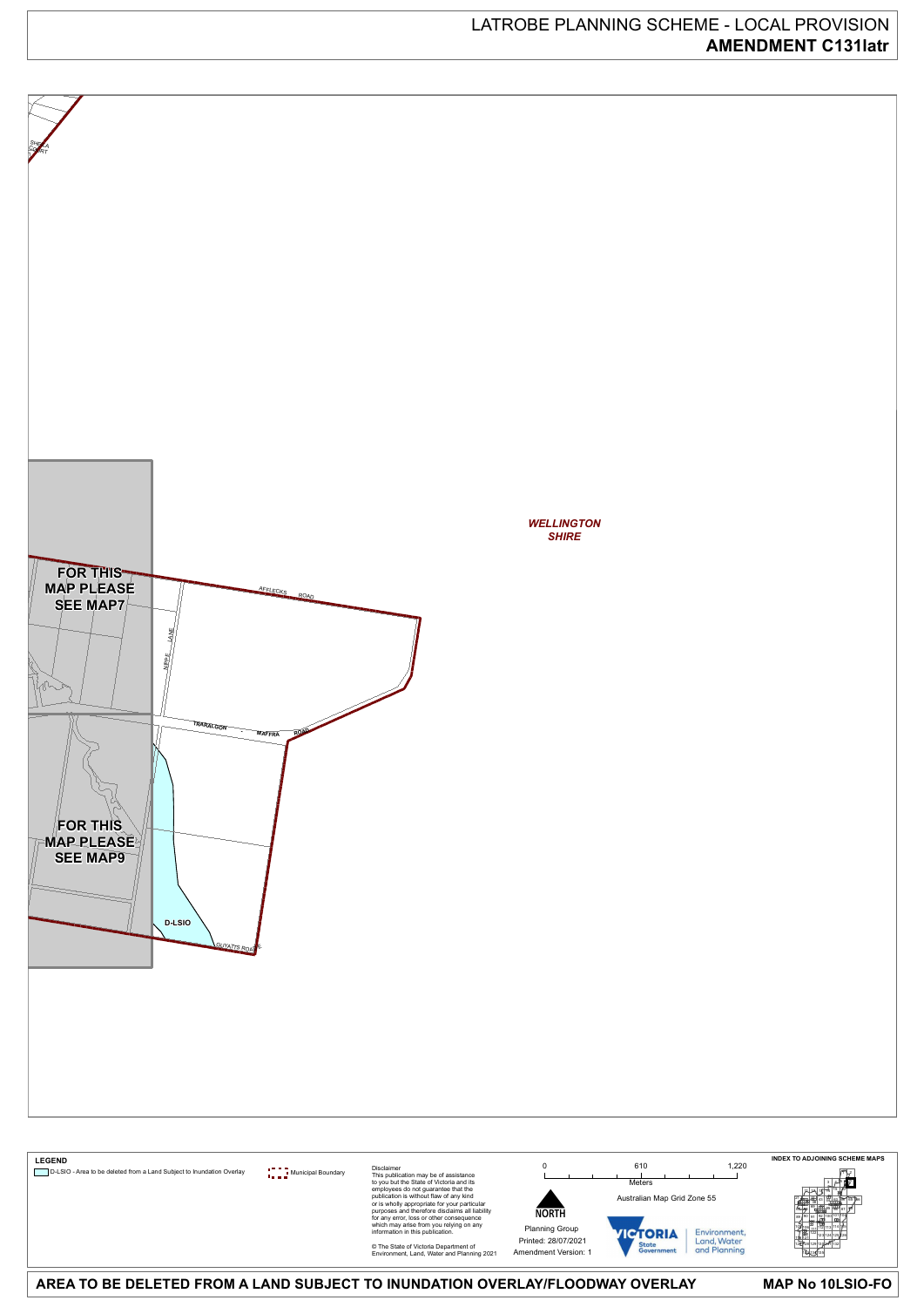#### **MAP No 10LSIO-FO**

# LATROBE PLANNING SCHEME - LOCAL PROVISION **AMENDMENT C131latr**